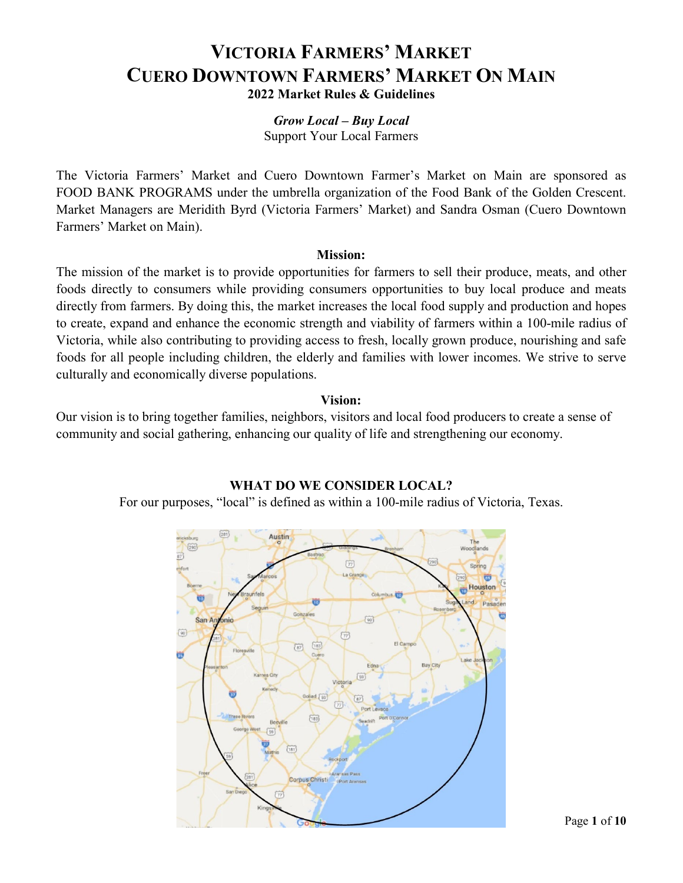#### *Grow Local – Buy Local* Support Your Local Farmers

The Victoria Farmers' Market and Cuero Downtown Farmer's Market on Main are sponsored as FOOD BANK PROGRAMS under the umbrella organization of the Food Bank of the Golden Crescent. Market Managers are Meridith Byrd (Victoria Farmers' Market) and Sandra Osman (Cuero Downtown Farmers' Market on Main).

### **Mission:**

The mission of the market is to provide opportunities for farmers to sell their produce, meats, and other foods directly to consumers while providing consumers opportunities to buy local produce and meats directly from farmers. By doing this, the market increases the local food supply and production and hopes to create, expand and enhance the economic strength and viability of farmers within a 100-mile radius of Victoria, while also contributing to providing access to fresh, locally grown produce, nourishing and safe foods for all people including children, the elderly and families with lower incomes. We strive to serve culturally and economically diverse populations.

### **Vision:**

Our vision is to bring together families, neighbors, visitors and local food producers to create a sense of community and social gathering, enhancing our quality of life and strengthening our economy.

## **WHAT DO WE CONSIDER LOCAL?**

For our purposes, "local" is defined as within a 100-mile radius of Victoria, Texas.

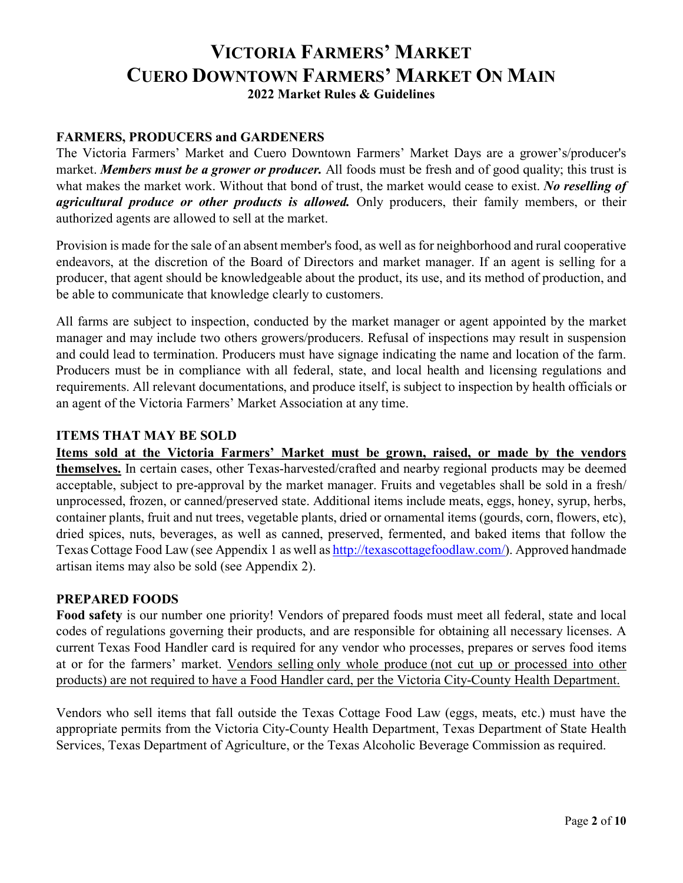### **FARMERS, PRODUCERS and GARDENERS**

The Victoria Farmers' Market and Cuero Downtown Farmers' Market Days are a grower's/producer's market. *Members must be a grower or producer.* All foods must be fresh and of good quality; this trust is what makes the market work. Without that bond of trust, the market would cease to exist. *No reselling of agricultural produce or other products is allowed.* Only producers, their family members, or their authorized agents are allowed to sell at the market.

Provision is made for the sale of an absent member's food, as well as for neighborhood and rural cooperative endeavors, at the discretion of the Board of Directors and market manager. If an agent is selling for a producer, that agent should be knowledgeable about the product, its use, and its method of production, and be able to communicate that knowledge clearly to customers.

All farms are subject to inspection, conducted by the market manager or agent appointed by the market manager and may include two others growers/producers. Refusal of inspections may result in suspension and could lead to termination. Producers must have signage indicating the name and location of the farm. Producers must be in compliance with all federal, state, and local health and licensing regulations and requirements. All relevant documentations, and produce itself, is subject to inspection by health officials or an agent of the Victoria Farmers' Market Association at any time.

### **ITEMS THAT MAY BE SOLD**

**Items sold at the Victoria Farmers' Market must be grown, raised, or made by the vendors themselves.** In certain cases, other Texas-harvested/crafted and nearby regional products may be deemed acceptable, subject to pre-approval by the market manager. Fruits and vegetables shall be sold in a fresh/ unprocessed, frozen, or canned/preserved state. Additional items include meats, eggs, honey, syrup, herbs, container plants, fruit and nut trees, vegetable plants, dried or ornamental items (gourds, corn, flowers, etc), dried spices, nuts, beverages, as well as canned, preserved, fermented, and baked items that follow the Texas Cottage Food Law (see Appendix 1 as well a[s http://texascottagefoodlaw.com/\)](http://texascottagefoodlaw.com/). Approved handmade artisan items may also be sold (see Appendix 2).

### **PREPARED FOODS**

**Food safety** is our number one priority! Vendors of prepared foods must meet all federal, state and local codes of regulations governing their products, and are responsible for obtaining all necessary licenses. A current Texas Food Handler card is required for any vendor who processes, prepares or serves food items at or for the farmers' market. Vendors selling only whole produce (not cut up or processed into other products) are not required to have a Food Handler card, per the Victoria City-County Health Department.

Vendors who sell items that fall outside the Texas Cottage Food Law (eggs, meats, etc.) must have the appropriate permits from the Victoria City-County Health Department, Texas Department of State Health Services, Texas Department of Agriculture, or the Texas Alcoholic Beverage Commission as required.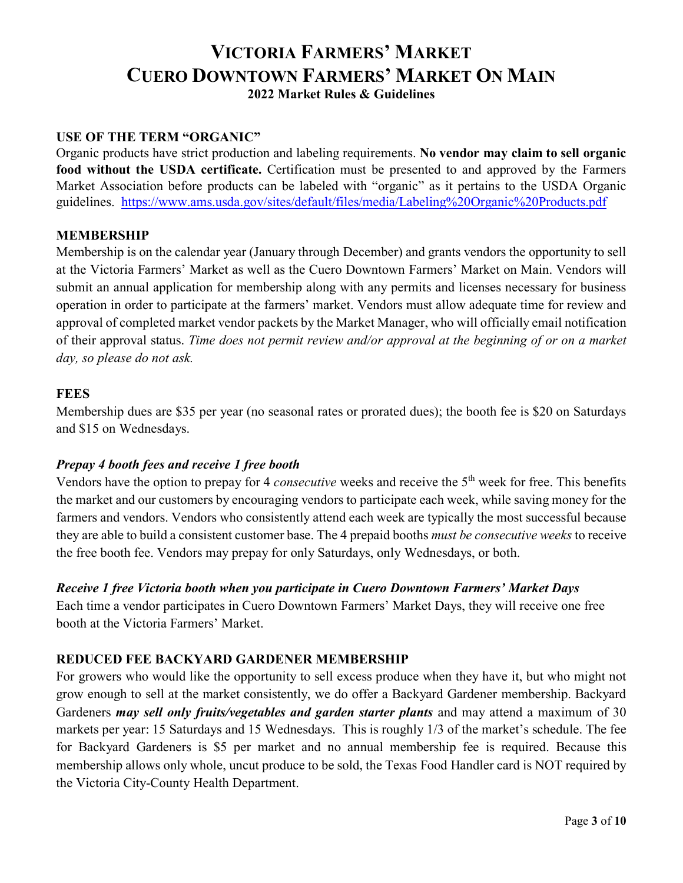### **USE OF THE TERM "ORGANIC"**

Organic products have strict production and labeling requirements. **No vendor may claim to sell organic food without the USDA certificate.** Certification must be presented to and approved by the Farmers Market Association before products can be labeled with "organic" as it pertains to the USDA Organic guidelines. <https://www.ams.usda.gov/sites/default/files/media/Labeling%20Organic%20Products.pdf>

### **MEMBERSHIP**

Membership is on the calendar year (January through December) and grants vendors the opportunity to sell at the Victoria Farmers' Market as well as the Cuero Downtown Farmers' Market on Main. Vendors will submit an annual application for membership along with any permits and licenses necessary for business operation in order to participate at the farmers' market. Vendors must allow adequate time for review and approval of completed market vendor packets by the Market Manager, who will officially email notification of their approval status. *Time does not permit review and/or approval at the beginning of or on a market day, so please do not ask.* 

#### **FEES**

Membership dues are \$35 per year (no seasonal rates or prorated dues); the booth fee is \$20 on Saturdays and \$15 on Wednesdays.

### *Prepay 4 booth fees and receive 1 free booth*

Vendors have the option to prepay for 4 *consecutive* weeks and receive the 5<sup>th</sup> week for free. This benefits the market and our customers by encouraging vendors to participate each week, while saving money for the farmers and vendors. Vendors who consistently attend each week are typically the most successful because they are able to build a consistent customer base. The 4 prepaid booths *must be consecutive weeks* to receive the free booth fee. Vendors may prepay for only Saturdays, only Wednesdays, or both.

### *Receive 1 free Victoria booth when you participate in Cuero Downtown Farmers' Market Days*

Each time a vendor participates in Cuero Downtown Farmers' Market Days, they will receive one free booth at the Victoria Farmers' Market.

## **REDUCED FEE BACKYARD GARDENER MEMBERSHIP**

For growers who would like the opportunity to sell excess produce when they have it, but who might not grow enough to sell at the market consistently, we do offer a Backyard Gardener membership. Backyard Gardeners *may sell only fruits/vegetables and garden starter plants* and may attend a maximum of 30 markets per year: 15 Saturdays and 15 Wednesdays. This is roughly 1/3 of the market's schedule. The fee for Backyard Gardeners is \$5 per market and no annual membership fee is required. Because this membership allows only whole, uncut produce to be sold, the Texas Food Handler card is NOT required by the Victoria City-County Health Department.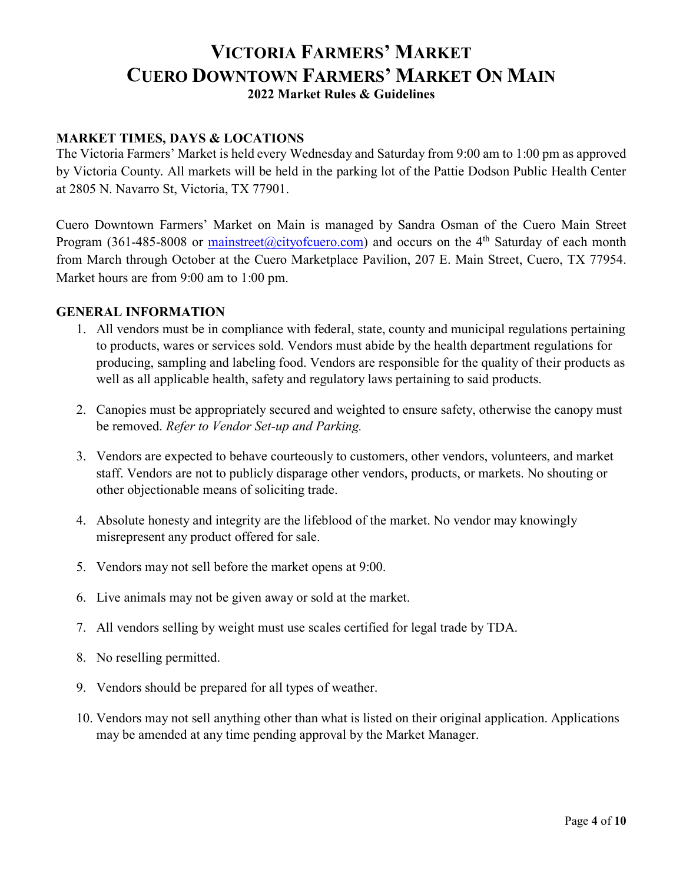## **MARKET TIMES, DAYS & LOCATIONS**

The Victoria Farmers' Market is held every Wednesday and Saturday from 9:00 am to 1:00 pm as approved by Victoria County. All markets will be held in the parking lot of the Pattie Dodson Public Health Center at 2805 N. Navarro St, Victoria, TX 77901.

Cuero Downtown Farmers' Market on Main is managed by Sandra Osman of the Cuero Main Street Program (361-485-8008 or  $\frac{\text{mainstreet}(\omega\text{cityofcuero.com})}{\text{output}}$  and occurs on the 4<sup>th</sup> Saturday of each month from March through October at the Cuero Marketplace Pavilion, 207 E. Main Street, Cuero, TX 77954. Market hours are from 9:00 am to 1:00 pm.

### **GENERAL INFORMATION**

- 1. All vendors must be in compliance with federal, state, county and municipal regulations pertaining to products, wares or services sold. Vendors must abide by the health department regulations for producing, sampling and labeling food. Vendors are responsible for the quality of their products as well as all applicable health, safety and regulatory laws pertaining to said products.
- 2. Canopies must be appropriately secured and weighted to ensure safety, otherwise the canopy must be removed. *Refer to Vendor Set-up and Parking.*
- 3. Vendors are expected to behave courteously to customers, other vendors, volunteers, and market staff. Vendors are not to publicly disparage other vendors, products, or markets. No shouting or other objectionable means of soliciting trade.
- 4. Absolute honesty and integrity are the lifeblood of the market. No vendor may knowingly misrepresent any product offered for sale.
- 5. Vendors may not sell before the market opens at 9:00.
- 6. Live animals may not be given away or sold at the market.
- 7. All vendors selling by weight must use scales certified for legal trade by TDA.
- 8. No reselling permitted.
- 9. Vendors should be prepared for all types of weather.
- 10. Vendors may not sell anything other than what is listed on their original application. Applications may be amended at any time pending approval by the Market Manager.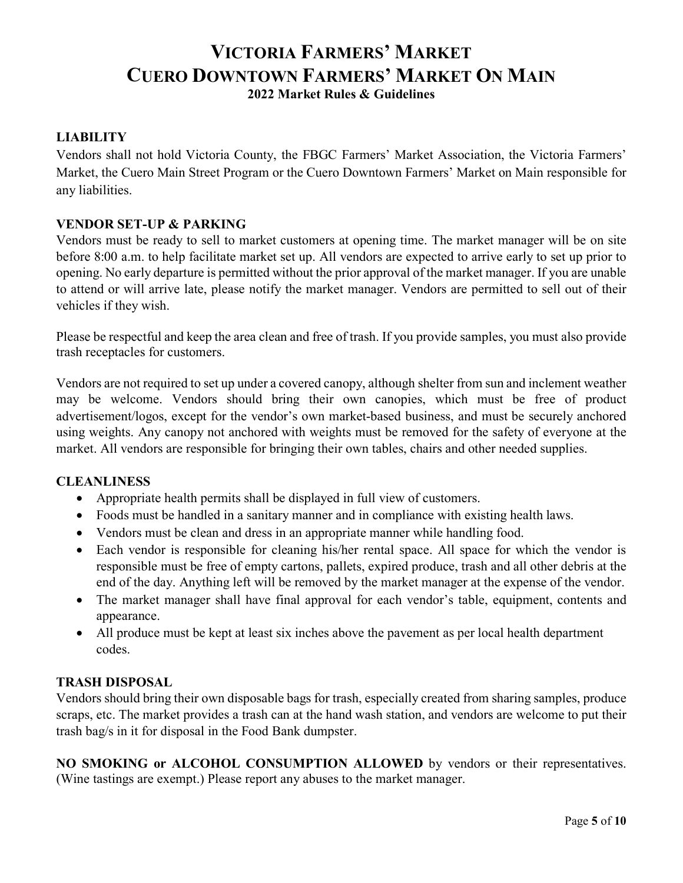### **LIABILITY**

Vendors shall not hold Victoria County, the FBGC Farmers' Market Association, the Victoria Farmers' Market, the Cuero Main Street Program or the Cuero Downtown Farmers' Market on Main responsible for any liabilities.

### **VENDOR SET-UP & PARKING**

Vendors must be ready to sell to market customers at opening time. The market manager will be on site before 8:00 a.m. to help facilitate market set up. All vendors are expected to arrive early to set up prior to opening. No early departure is permitted without the prior approval of the market manager. If you are unable to attend or will arrive late, please notify the market manager. Vendors are permitted to sell out of their vehicles if they wish.

Please be respectful and keep the area clean and free of trash. If you provide samples, you must also provide trash receptacles for customers.

Vendors are not required to set up under a covered canopy, although shelter from sun and inclement weather may be welcome. Vendors should bring their own canopies, which must be free of product advertisement/logos, except for the vendor's own market-based business, and must be securely anchored using weights. Any canopy not anchored with weights must be removed for the safety of everyone at the market. All vendors are responsible for bringing their own tables, chairs and other needed supplies.

### **CLEANLINESS**

- Appropriate health permits shall be displayed in full view of customers.
- Foods must be handled in a sanitary manner and in compliance with existing health laws.
- Vendors must be clean and dress in an appropriate manner while handling food.
- Each vendor is responsible for cleaning his/her rental space. All space for which the vendor is responsible must be free of empty cartons, pallets, expired produce, trash and all other debris at the end of the day. Anything left will be removed by the market manager at the expense of the vendor.
- The market manager shall have final approval for each vendor's table, equipment, contents and appearance.
- All produce must be kept at least six inches above the pavement as per local health department codes.

### **TRASH DISPOSAL**

Vendors should bring their own disposable bags for trash, especially created from sharing samples, produce scraps, etc. The market provides a trash can at the hand wash station, and vendors are welcome to put their trash bag/s in it for disposal in the Food Bank dumpster.

**NO SMOKING or ALCOHOL CONSUMPTION ALLOWED** by vendors or their representatives. (Wine tastings are exempt.) Please report any abuses to the market manager.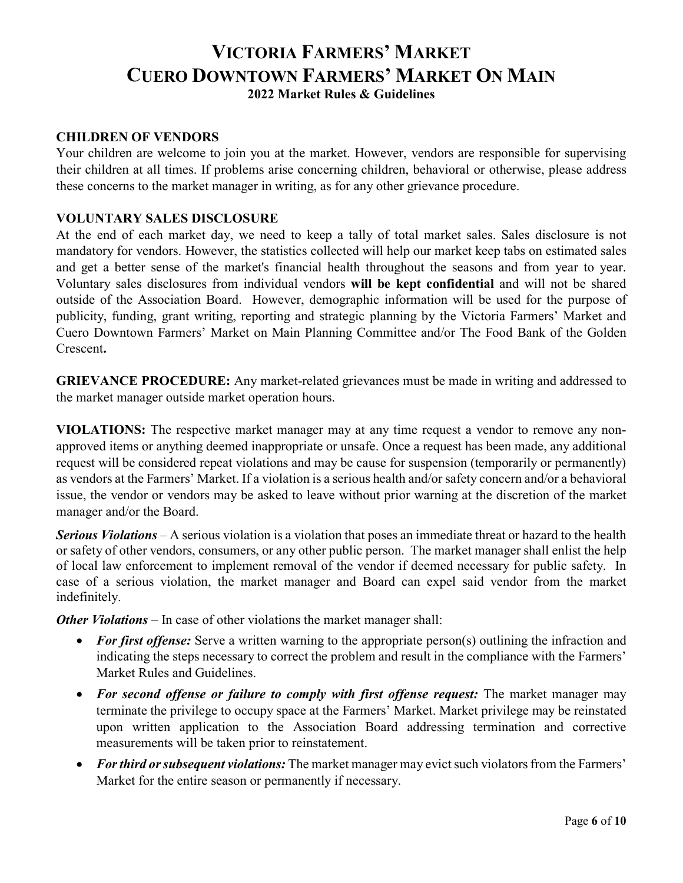#### **CHILDREN OF VENDORS**

Your children are welcome to join you at the market. However, vendors are responsible for supervising their children at all times. If problems arise concerning children, behavioral or otherwise, please address these concerns to the market manager in writing, as for any other grievance procedure.

#### **VOLUNTARY SALES DISCLOSURE**

At the end of each market day, we need to keep a tally of total market sales. Sales disclosure is not mandatory for vendors. However, the statistics collected will help our market keep tabs on estimated sales and get a better sense of the market's financial health throughout the seasons and from year to year. Voluntary sales disclosures from individual vendors **will be kept confidential** and will not be shared outside of the Association Board. However, demographic information will be used for the purpose of publicity, funding, grant writing, reporting and strategic planning by the Victoria Farmers' Market and Cuero Downtown Farmers' Market on Main Planning Committee and/or The Food Bank of the Golden Crescent**.** 

**GRIEVANCE PROCEDURE:** Any market-related grievances must be made in writing and addressed to the market manager outside market operation hours.

**VIOLATIONS:** The respective market manager may at any time request a vendor to remove any nonapproved items or anything deemed inappropriate or unsafe. Once a request has been made, any additional request will be considered repeat violations and may be cause for suspension (temporarily or permanently) as vendors at the Farmers' Market. If a violation is a serious health and/or safety concern and/or a behavioral issue, the vendor or vendors may be asked to leave without prior warning at the discretion of the market manager and/or the Board.

*Serious Violations* – A serious violation is a violation that poses an immediate threat or hazard to the health or safety of other vendors, consumers, or any other public person. The market manager shall enlist the help of local law enforcement to implement removal of the vendor if deemed necessary for public safety. In case of a serious violation, the market manager and Board can expel said vendor from the market indefinitely.

*Other Violations* – In case of other violations the market manager shall:

- *For first offense:* Serve a written warning to the appropriate person(s) outlining the infraction and indicating the steps necessary to correct the problem and result in the compliance with the Farmers' Market Rules and Guidelines.
- *For second offense or failure to comply with first offense request:* The market manager may terminate the privilege to occupy space at the Farmers' Market. Market privilege may be reinstated upon written application to the Association Board addressing termination and corrective measurements will be taken prior to reinstatement.
- *For third or subsequent violations:* The market manager may evict such violators from the Farmers' Market for the entire season or permanently if necessary.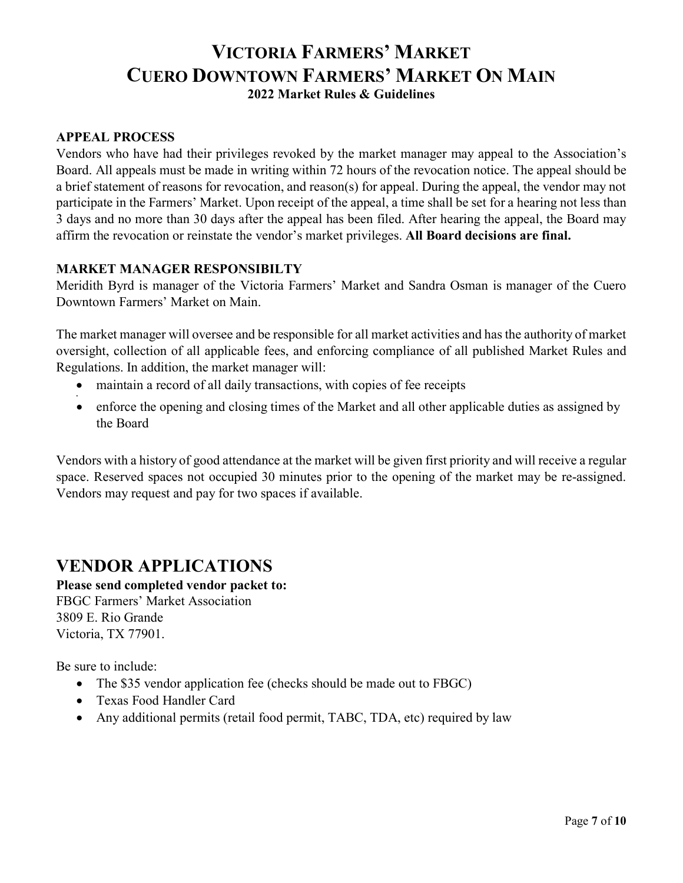### **APPEAL PROCESS**

Vendors who have had their privileges revoked by the market manager may appeal to the Association's Board. All appeals must be made in writing within 72 hours of the revocation notice. The appeal should be a brief statement of reasons for revocation, and reason(s) for appeal. During the appeal, the vendor may not participate in the Farmers' Market. Upon receipt of the appeal, a time shall be set for a hearing not less than 3 days and no more than 30 days after the appeal has been filed. After hearing the appeal, the Board may affirm the revocation or reinstate the vendor's market privileges. **All Board decisions are final.**

### **MARKET MANAGER RESPONSIBILTY**

Meridith Byrd is manager of the Victoria Farmers' Market and Sandra Osman is manager of the Cuero Downtown Farmers' Market on Main.

The market manager will oversee and be responsible for all market activities and has the authority of market oversight, collection of all applicable fees, and enforcing compliance of all published Market Rules and Regulations. In addition, the market manager will:

- maintain a record of all daily transactions, with copies of fee receipts
- enforce the opening and closing times of the Market and all other applicable duties as assigned by the Board

Vendors with a history of good attendance at the market will be given first priority and will receive a regular space. Reserved spaces not occupied 30 minutes prior to the opening of the market may be re-assigned. Vendors may request and pay for two spaces if available.

# **VENDOR APPLICATIONS**

**Please send completed vendor packet to:**  FBGC Farmers' Market Association 3809 E. Rio Grande Victoria, TX 77901.

Be sure to include:

•

- The \$35 vendor application fee (checks should be made out to FBGC)
- Texas Food Handler Card
- Any additional permits (retail food permit, TABC, TDA, etc) required by law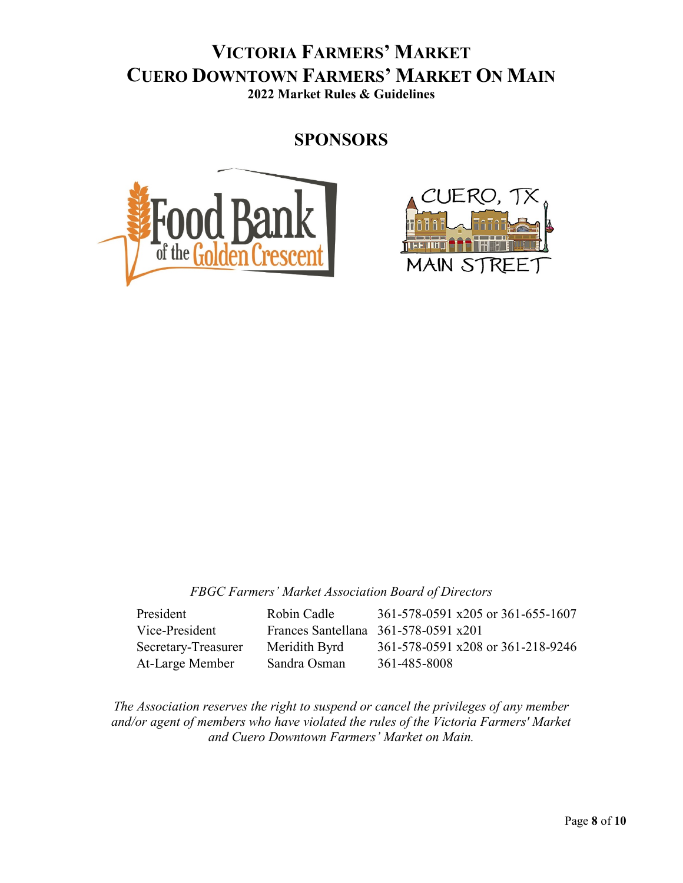**SPONSORS**





*FBGC Farmers' Market Association Board of Directors*

| President           | Robin Cadle   | 361-578-0591 x205 or 361-655-1607            |
|---------------------|---------------|----------------------------------------------|
| Vice-President      |               | Frances Santellana $361-578-0591 \times 201$ |
| Secretary-Treasurer | Meridith Byrd | 361-578-0591 x208 or 361-218-9246            |
| At-Large Member     | Sandra Osman  | 361-485-8008                                 |

*The Association reserves the right to suspend or cancel the privileges of any member and/or agent of members who have violated the rules of the Victoria Farmers' Market and Cuero Downtown Farmers' Market on Main.*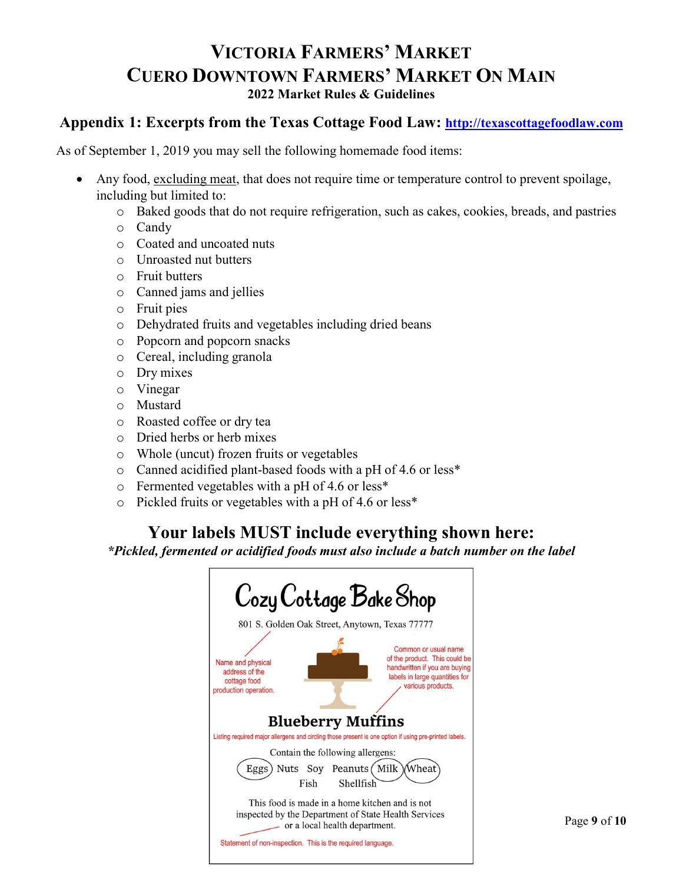# **Appendix 1: Excerpts from the Texas Cottage Food Law: [http://texascottagefoodlaw.com](http://texascottagefoodlaw.com/)**

As of September 1, 2019 you may sell the following homemade food items:

- Any food, excluding meat, that does not require time or temperature control to prevent spoilage, including but limited to:
	- o Baked goods that do not require refrigeration, such as cakes, cookies, breads, and pastries
	- o Candy
	- o Coated and uncoated nuts
	- o Unroasted nut butters
	- o Fruit butters
	- o Canned jams and jellies
	- o Fruit pies
	- o Dehydrated fruits and vegetables including dried beans
	- o Popcorn and popcorn snacks
	- o Cereal, including granola
	- o Dry mixes
	- o Vinegar
	- o Mustard
	- o Roasted coffee or dry tea
	- o Dried herbs or herb mixes
	- o Whole (uncut) frozen fruits or vegetables
	- o Canned acidified plant-based foods with a pH of 4.6 or less\*
	- o Fermented vegetables with a pH of 4.6 or less\*
	- o Pickled fruits or vegetables with a pH of 4.6 or less\*

# **Your labels MUST include everything shown here:**

*\*Pickled, fermented or acidified foods must also include a batch number on the label*